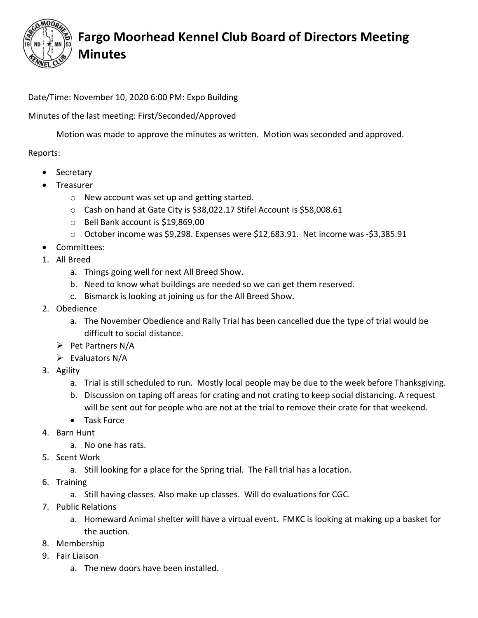

## Fargo Moorhead Kennel Club Board of Directors Meeting Minutes

Date/Time: November 10, 2020 6:00 PM: Expo Building

Minutes of the last meeting: First/Seconded/Approved

Motion was made to approve the minutes as written. Motion was seconded and approved.

#### Reports:

- Secretary
- Treasurer
	- o New account was set up and getting started.
	- o Cash on hand at Gate City is \$38,022.17 Stifel Account is \$58,008.61
	- o Bell Bank account is \$19,869.00
	- o October income was \$9,298. Expenses were \$12,683.91. Net income was -\$3,385.91
- Committees:
- 1. All Breed
	- a. Things going well for next All Breed Show.
	- b. Need to know what buildings are needed so we can get them reserved.
	- c. Bismarck is looking at joining us for the All Breed Show.
- 2. Obedience
	- a. The November Obedience and Rally Trial has been cancelled due the type of trial would be difficult to social distance.
	- $\triangleright$  Pet Partners N/A
	- $\triangleright$  Evaluators N/A
- 3. Agility
	- a. Trial is still scheduled to run. Mostly local people may be due to the week before Thanksgiving.
	- b. Discussion on taping off areas for crating and not crating to keep social distancing. A request will be sent out for people who are not at the trial to remove their crate for that weekend.
	- Task Force
- 4. Barn Hunt
	- a. No one has rats.
- 5. Scent Work
	- a. Still looking for a place for the Spring trial. The Fall trial has a location.
- 6. Training
	- a. Still having classes. Also make up classes. Will do evaluations for CGC.
- 7. Public Relations
	- a. Homeward Animal shelter will have a virtual event. FMKC is looking at making up a basket for the auction.
- 8. Membership
- 9. Fair Liaison
	- a. The new doors have been installed.